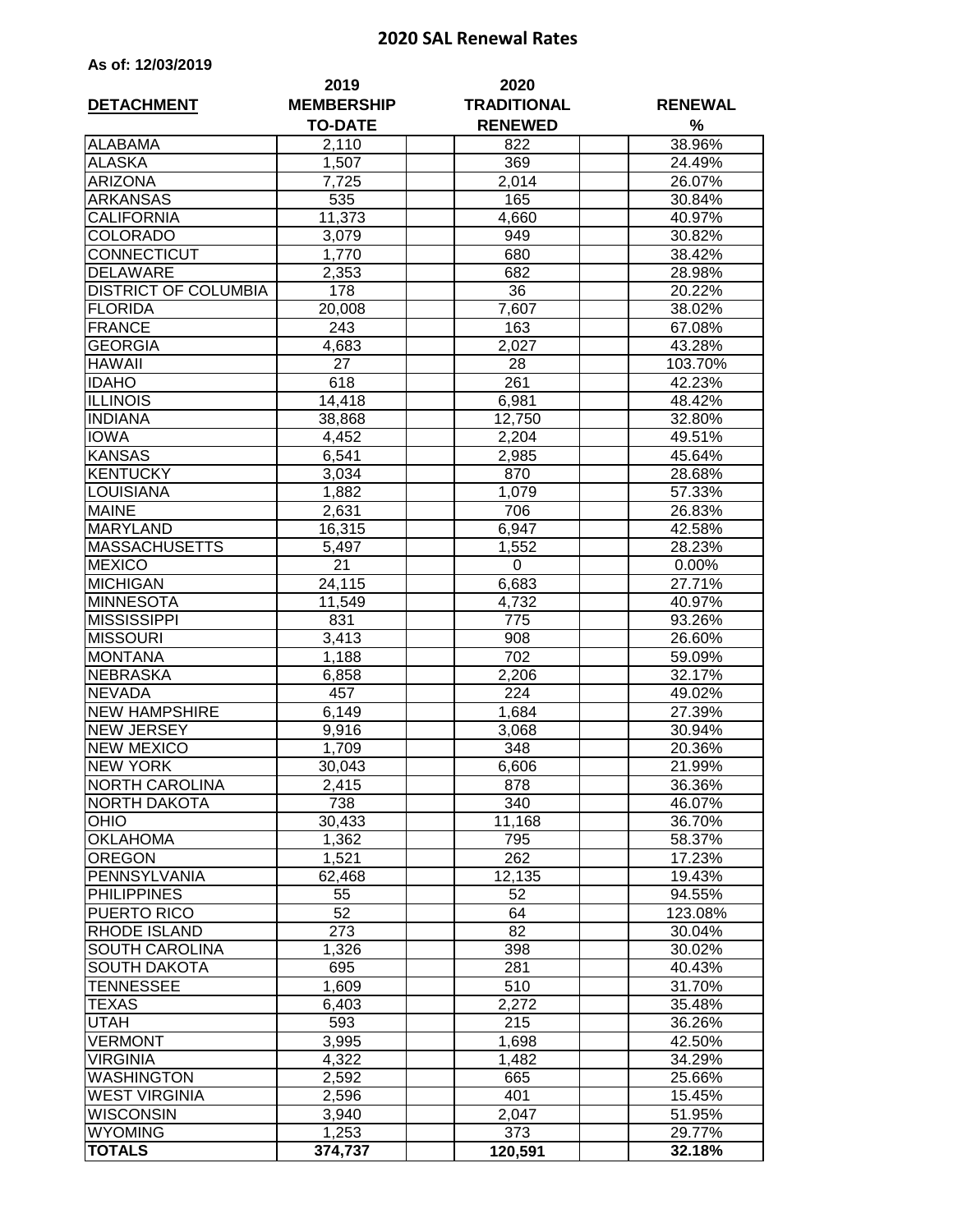## **2020 SAL Renewal Rates**

|  | As of: 12/03/2019 |  |
|--|-------------------|--|
|--|-------------------|--|

| <b>DETACHMENT</b>           | 2019<br><b>MEMBERSHIP</b><br><b>TO-DATE</b> | 2020<br><b>TRADITIONAL</b><br><b>RENEWED</b> | <b>RENEWAL</b><br>% |  |  |
|-----------------------------|---------------------------------------------|----------------------------------------------|---------------------|--|--|
| <b>ALABAMA</b>              | 2,110                                       | 822                                          | 38.96%              |  |  |
| <b>ALASKA</b>               | 1,507                                       | 369                                          | 24.49%              |  |  |
| <b>ARIZONA</b>              | 7,725                                       | 2,014                                        | 26.07%              |  |  |
| <b>ARKANSAS</b>             | 535                                         | 165                                          | 30.84%              |  |  |
| <b>CALIFORNIA</b>           | 11,373                                      | 4,660                                        | 40.97%              |  |  |
| <b>COLORADO</b>             | 3,079                                       | 949                                          | 30.82%              |  |  |
| <b>CONNECTICUT</b>          | 1,770                                       | 680                                          | 38.42%              |  |  |
| <b>DELAWARE</b>             | 2,353                                       | 682                                          | 28.98%              |  |  |
| <b>DISTRICT OF COLUMBIA</b> | 178                                         | 36                                           | 20.22%              |  |  |
| <b>FLORIDA</b>              | 20,008                                      | 7,607                                        | 38.02%              |  |  |
| <b>FRANCE</b>               | 243                                         | 163                                          | 67.08%              |  |  |
| <b>GEORGIA</b>              | 4,683                                       | 2,027                                        | 43.28%              |  |  |
| <b>HAWAII</b>               | 27                                          | 28                                           | 103.70%             |  |  |
| <b>IDAHO</b>                | 618                                         | 261                                          | 42.23%              |  |  |
| <b>ILLINOIS</b>             | 14,418                                      | 6,981                                        | 48.42%              |  |  |
| <b>INDIANA</b>              | 38,868                                      | 12,750                                       | 32.80%              |  |  |
| <b>IOWA</b>                 | 4,452                                       | 2,204                                        | 49.51%              |  |  |
| <b>KANSAS</b>               | 6,541                                       | 2,985                                        | 45.64%              |  |  |
| <b>KENTUCKY</b>             | 3,034                                       | 870                                          | 28.68%              |  |  |
| <b>LOUISIANA</b>            |                                             |                                              | 57.33%              |  |  |
| <b>MAINE</b>                | 1,882                                       | 1,079                                        |                     |  |  |
|                             | 2,631                                       | 706                                          | 26.83%              |  |  |
| <b>MARYLAND</b>             | 16,315                                      | 6,947                                        | 42.58%              |  |  |
| <b>MASSACHUSETTS</b>        | 5,497                                       | 1,552                                        | 28.23%              |  |  |
| <b>MEXICO</b>               | 21                                          | 0                                            | 0.00%               |  |  |
| <b>MICHIGAN</b>             | 24,115                                      | 6,683                                        | 27.71%              |  |  |
| <b>MINNESOTA</b>            | 11,549                                      | 4,732                                        | 40.97%              |  |  |
| <b>MISSISSIPPI</b>          | 831                                         | 775                                          | 93.26%              |  |  |
| <b>MISSOURI</b>             | 3,413                                       | 908                                          | 26.60%              |  |  |
| <b>MONTANA</b>              | 1,188                                       | $\overline{702}$                             | 59.09%              |  |  |
| <b>NEBRASKA</b>             | 6,858                                       | 2,206                                        | 32.17%              |  |  |
| <b>NEVADA</b>               | 457                                         | 224                                          | 49.02%              |  |  |
| <b>NEW HAMPSHIRE</b>        | 6,149                                       | 1,684                                        | 27.39%              |  |  |
| <b>NEW JERSEY</b>           | 9,916                                       | 3,068                                        | 30.94%              |  |  |
| <b>NEW MEXICO</b>           | 1,709                                       | 348                                          | 20.36%              |  |  |
| <b>NEW YORK</b>             | 30,043                                      | 6,606                                        | 21.99%              |  |  |
| INORTH CAROLINA             | 2,415                                       | 878                                          | 36.36%              |  |  |
| <b>NORTH DAKOTA</b>         | 738                                         | 340                                          | 46.07%              |  |  |
| <b>OHIO</b>                 | 30,433                                      | 11,168                                       | 36.70%              |  |  |
| <b>OKLAHOMA</b>             | 1,362                                       | 795                                          | 58.37%              |  |  |
| <b>OREGON</b>               | 1,521                                       | 262                                          | 17.23%              |  |  |
| <b>PENNSYLVANIA</b>         | 62,468                                      | 12,135                                       | 19.43%              |  |  |
| <b>PHILIPPINES</b>          | 55                                          | 52                                           | 94.55%              |  |  |
| PUERTO RICO                 | 52                                          | 64                                           | 123.08%             |  |  |
| <b>RHODE ISLAND</b>         | 273                                         | 82                                           | 30.04%              |  |  |
| <b>SOUTH CAROLINA</b>       | 1,326                                       | 398                                          | 30.02%              |  |  |
| <b>SOUTH DAKOTA</b>         | 695                                         | 281                                          | 40.43%              |  |  |
| <b>TENNESSEE</b>            | 1,609                                       | 510                                          | 31.70%              |  |  |
| <b>TEXAS</b>                | 6,403                                       | 2,272                                        | 35.48%              |  |  |
| <b>UTAH</b>                 | 593                                         | 215                                          | 36.26%              |  |  |
| <b>VERMONT</b>              | 3,995                                       | 1,698                                        | 42.50%              |  |  |
| <b>VIRGINIA</b>             | 4,322                                       | 1,482                                        | 34.29%              |  |  |
| <b>WASHINGTON</b>           | 2,592                                       | 665                                          | 25.66%              |  |  |
| <b>WEST VIRGINIA</b>        | 2,596                                       | 401                                          | 15.45%              |  |  |
| <b>WISCONSIN</b>            | 3,940                                       | 2,047                                        | 51.95%              |  |  |
| <b>WYOMING</b>              | 1,253                                       | 373                                          | 29.77%              |  |  |
| <b>TOTALS</b>               | 374,737                                     | 120,591                                      | 32.18%              |  |  |